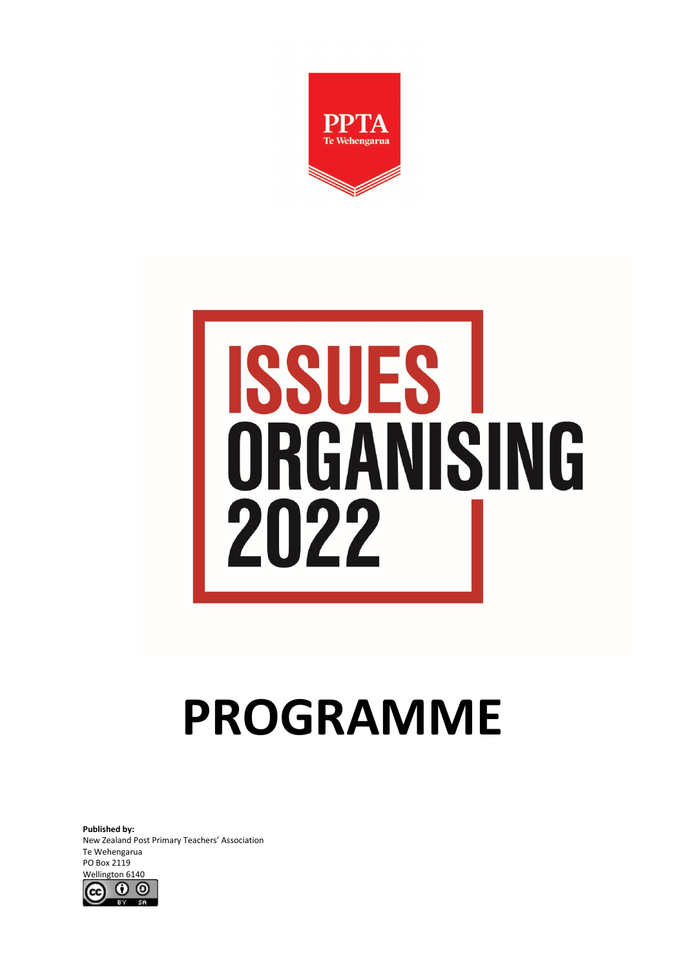

# **ISSUES** ORGANISING 2022

# **PROGRAMME**

**Published by:** New Zealand Post Primary Teachers' Association Te Wehengarua PO Box 2119 Wellington 6140

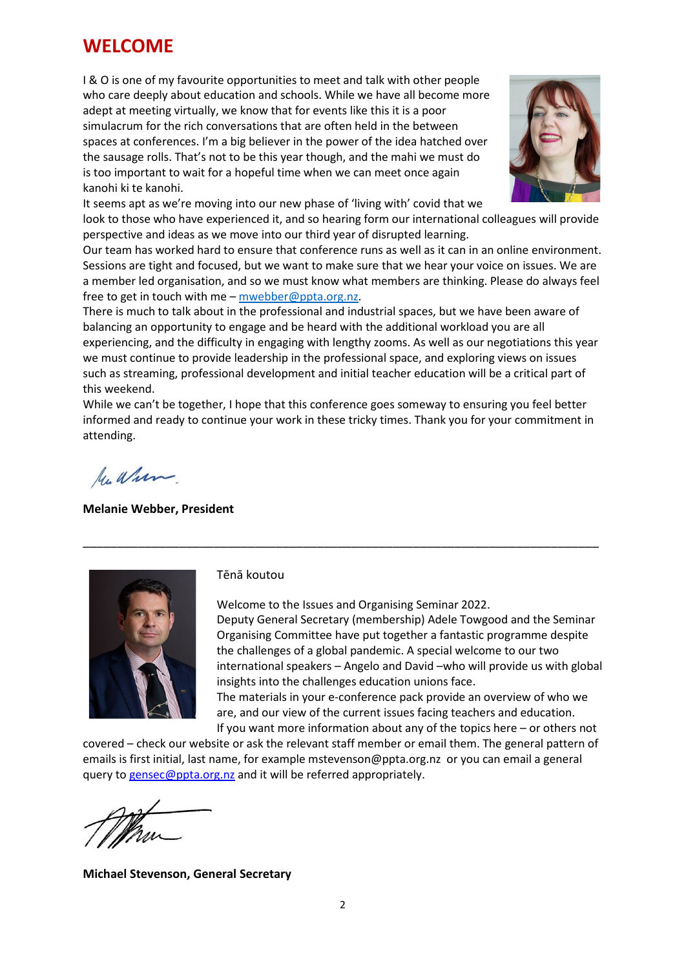## **WELCOME**

I & O is one of my favourite opportunities to meet and talk with other people who care deeply about education and schools. While we have all become more adept at meeting virtually, we know that for events like this it is a poor simulacrum for the rich conversations that are often held in the between spaces at conferences. I'm a big believer in the power of the idea hatched over the sausage rolls. That's not to be this year though, and the mahi we must do is too important to wait for a hopeful time when we can meet once again kanohi ki te kanohi.



It seems apt as we're moving into our new phase of 'living with' covid that we look to those who have experienced it, and so hearing form our international colleagues will provide perspective and ideas as we move into our third year of disrupted learning.

Our team has worked hard to ensure that conference runs as well as it can in an online environment. Sessions are tight and focused, but we want to make sure that we hear your voice on issues. We are a member led organisation, and so we must know what members are thinking. Please do always feel free to get in touch with me – [mwebber@ppta.org.nz.](mailto:mwebber@ppta.org.nz)

There is much to talk about in the professional and industrial spaces, but we have been aware of balancing an opportunity to engage and be heard with the additional workload you are all experiencing, and the difficulty in engaging with lengthy zooms. As well as our negotiations this year we must continue to provide leadership in the professional space, and exploring views on issues such as streaming, professional development and initial teacher education will be a critical part of this weekend.

While we can't be together, I hope that this conference goes someway to ensuring you feel better informed and ready to continue your work in these tricky times. Thank you for your commitment in attending.

\_\_\_\_\_\_\_\_\_\_\_\_\_\_\_\_\_\_\_\_\_\_\_\_\_\_\_\_\_\_\_\_\_\_\_\_\_\_\_\_\_\_\_\_\_\_\_\_\_\_\_\_\_\_\_\_\_\_\_\_\_\_\_\_\_\_\_\_\_\_\_\_\_\_\_

Mu When

**Melanie Webber, President**



#### Tēnā koutou

Welcome to the Issues and Organising Seminar 2022. Deputy General Secretary (membership) Adele Towgood and the Seminar Organising Committee have put together a fantastic programme despite the challenges of a global pandemic. A special welcome to our two international speakers – Angelo and David –who will provide us with global insights into the challenges education unions face. The materials in your e-conference pack provide an overview of who we

are, and our view of the current issues facing teachers and education.

If you want more information about any of the topics here – or others not covered – check our website or ask the relevant staff member or email them. The general pattern of emails is first initial, last name, for example mstevenson@ppta.org.nz or you can email a general query to [gensec@ppta.org.nz](mailto:gensec@ppta.org.nz) and it will be referred appropriately.

**Michael Stevenson, General Secretary**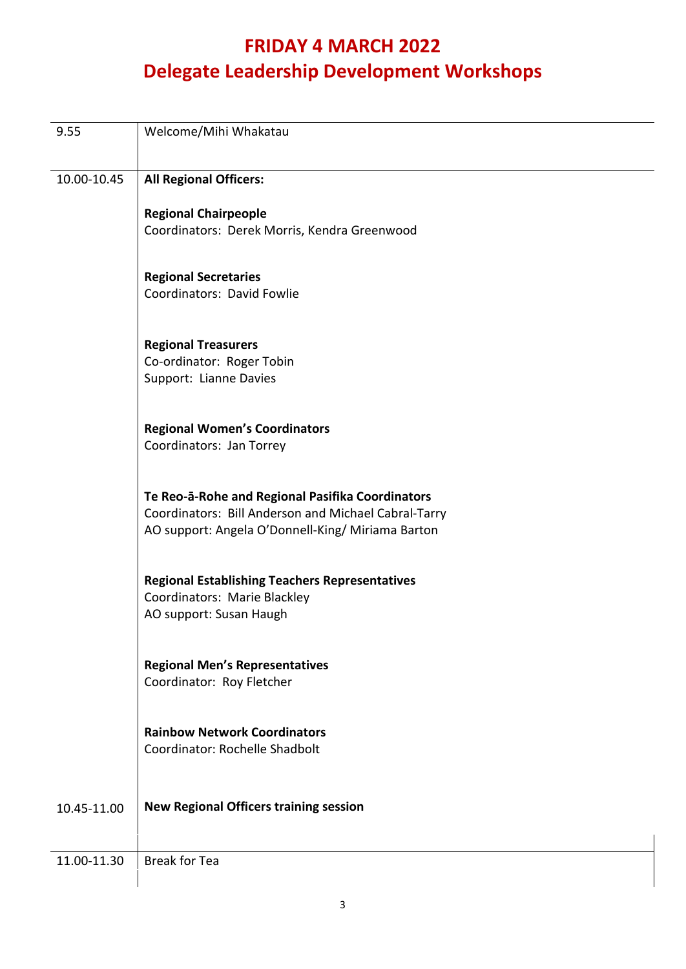# **FRIDAY 4 MARCH 2022 Delegate Leadership Development Workshops**

| 9.55        | Welcome/Mihi Whakatau                                                                                     |
|-------------|-----------------------------------------------------------------------------------------------------------|
| 10.00-10.45 | <b>All Regional Officers:</b>                                                                             |
|             | <b>Regional Chairpeople</b>                                                                               |
|             | Coordinators: Derek Morris, Kendra Greenwood                                                              |
|             | <b>Regional Secretaries</b>                                                                               |
|             | Coordinators: David Fowlie                                                                                |
|             | <b>Regional Treasurers</b>                                                                                |
|             | Co-ordinator: Roger Tobin<br>Support: Lianne Davies                                                       |
|             |                                                                                                           |
|             | <b>Regional Women's Coordinators</b><br>Coordinators: Jan Torrey                                          |
|             |                                                                                                           |
|             | Te Reo-a-Rohe and Regional Pasifika Coordinators                                                          |
|             | Coordinators: Bill Anderson and Michael Cabral-Tarry<br>AO support: Angela O'Donnell-King/ Miriama Barton |
|             |                                                                                                           |
|             | <b>Regional Establishing Teachers Representatives</b><br>Coordinators: Marie Blackley                     |
|             | AO support: Susan Haugh                                                                                   |
|             |                                                                                                           |
|             | <b>Regional Men's Representatives</b><br>Coordinator: Roy Fletcher                                        |
|             |                                                                                                           |
|             | <b>Rainbow Network Coordinators</b>                                                                       |
|             | Coordinator: Rochelle Shadbolt                                                                            |
| 10.45-11.00 | <b>New Regional Officers training session</b>                                                             |
|             |                                                                                                           |
| 11.00-11.30 | <b>Break for Tea</b>                                                                                      |
|             |                                                                                                           |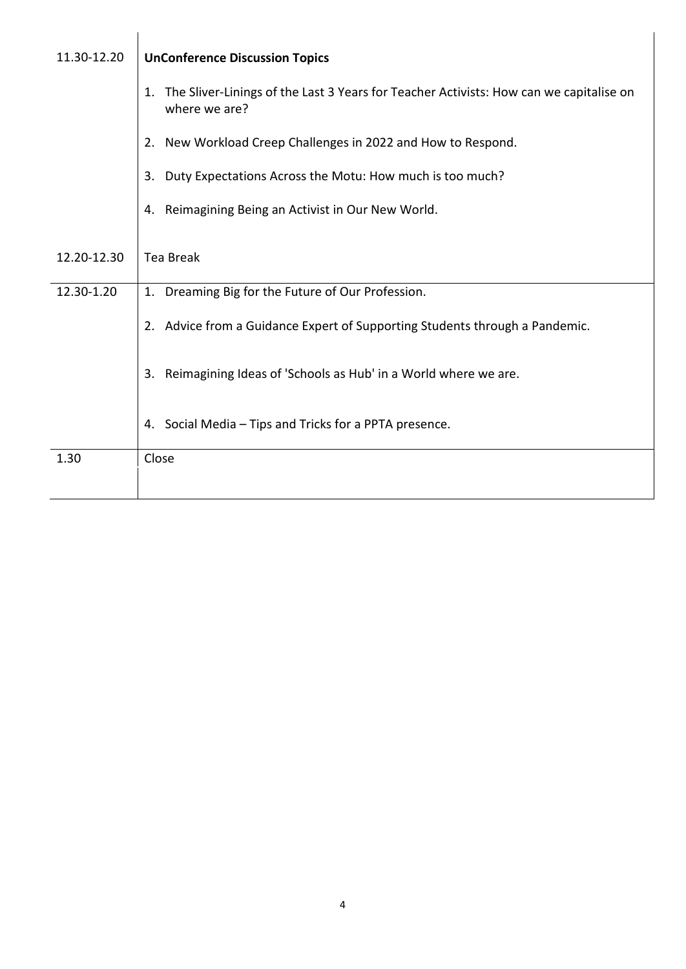| 11.30-12.20 | <b>UnConference Discussion Topics</b>                                                                         |  |
|-------------|---------------------------------------------------------------------------------------------------------------|--|
|             | The Sliver-Linings of the Last 3 Years for Teacher Activists: How can we capitalise on<br>1.<br>where we are? |  |
|             | 2. New Workload Creep Challenges in 2022 and How to Respond.                                                  |  |
|             | Duty Expectations Across the Motu: How much is too much?<br>3.                                                |  |
|             | 4. Reimagining Being an Activist in Our New World.                                                            |  |
|             |                                                                                                               |  |
| 12.20-12.30 | <b>Tea Break</b>                                                                                              |  |
| 12.30-1.20  | 1. Dreaming Big for the Future of Our Profession.                                                             |  |
|             | 2. Advice from a Guidance Expert of Supporting Students through a Pandemic.                                   |  |
|             | Reimagining Ideas of 'Schools as Hub' in a World where we are.<br>3.                                          |  |
|             | 4. Social Media - Tips and Tricks for a PPTA presence.                                                        |  |
| 1.30        | Close                                                                                                         |  |
|             |                                                                                                               |  |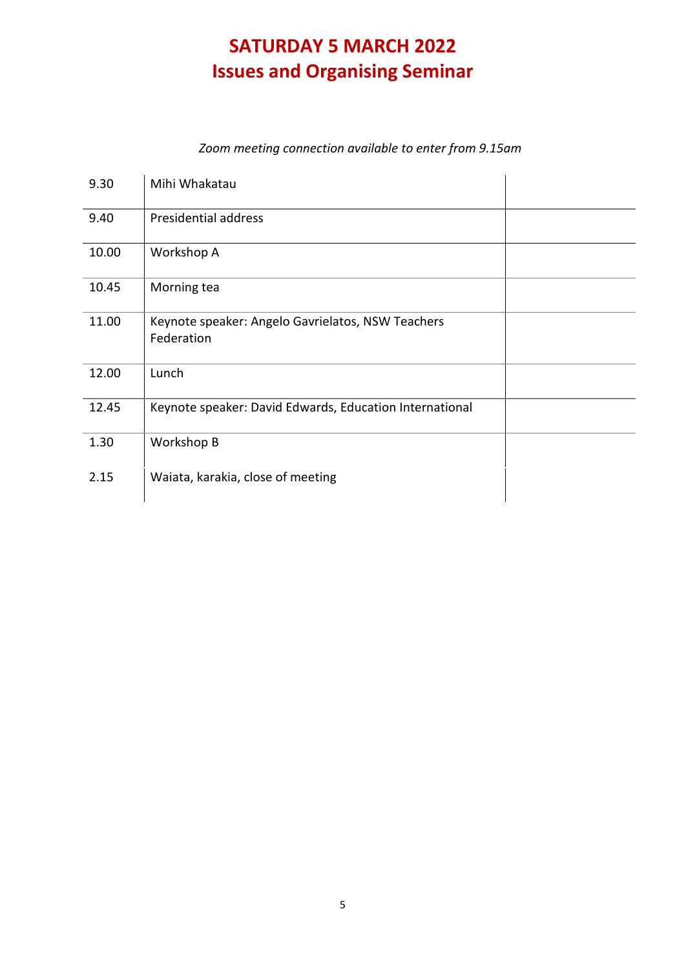# **SATURDAY 5 MARCH 2022 Issues and Organising Seminar**

#### *Zoom meeting connection available to enter from 9.15am*

| 9.30  | Mihi Whakatau                                                   |  |
|-------|-----------------------------------------------------------------|--|
| 9.40  | Presidential address                                            |  |
| 10.00 | Workshop A                                                      |  |
| 10.45 | Morning tea                                                     |  |
| 11.00 | Keynote speaker: Angelo Gavrielatos, NSW Teachers<br>Federation |  |
| 12.00 | Lunch                                                           |  |
| 12.45 | Keynote speaker: David Edwards, Education International         |  |
| 1.30  | Workshop B                                                      |  |
| 2.15  | Waiata, karakia, close of meeting                               |  |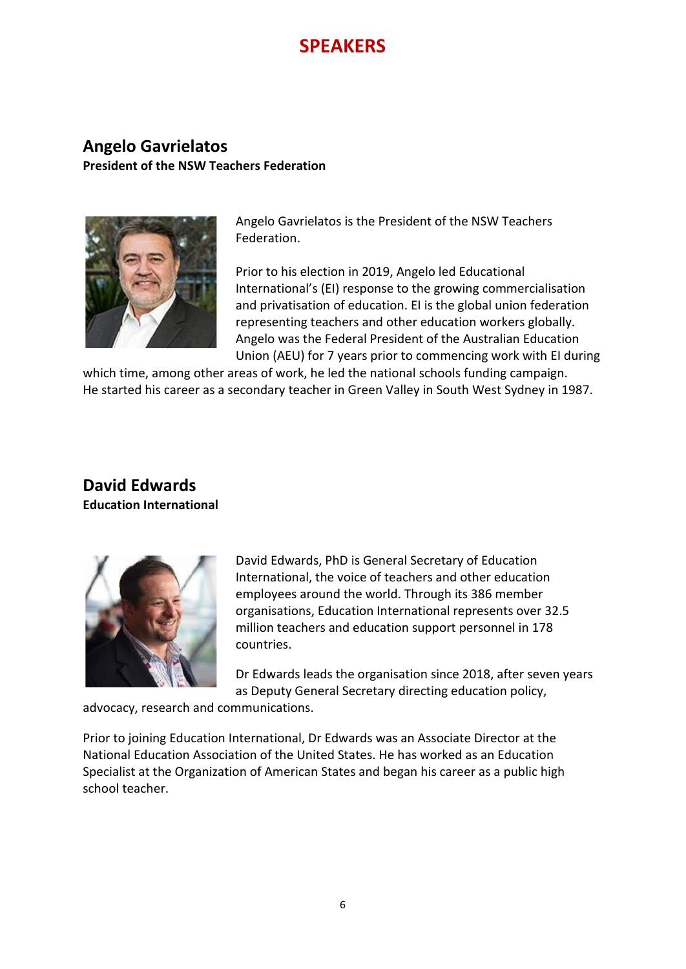# **SPEAKERS**

#### **Angelo Gavrielatos President of the NSW Teachers Federation**



Angelo Gavrielatos is the President of the NSW Teachers Federation.

Prior to his election in 2019, Angelo led Educational International's (EI) response to the growing commercialisation and privatisation of education. EI is the global union federation representing teachers and other education workers globally. Angelo was the Federal President of the Australian Education Union (AEU) for 7 years prior to commencing work with EI during

which time, among other areas of work, he led the national schools funding campaign. He started his career as a secondary teacher in Green Valley in South West Sydney in 1987.

#### **David Edwards Education International**



David Edwards, PhD is General Secretary of Education International, the voice of teachers and other education employees around the world. Through its 386 member organisations, Education International represents over 32.5 million teachers and education support personnel in 178 countries.

Dr Edwards leads the organisation since 2018, after seven years as Deputy General Secretary directing education policy,

advocacy, research and communications.

Prior to joining Education International, Dr Edwards was an Associate Director at the National Education Association of the United States. He has worked as an Education Specialist at the Organization of American States and began his career as a public high school teacher.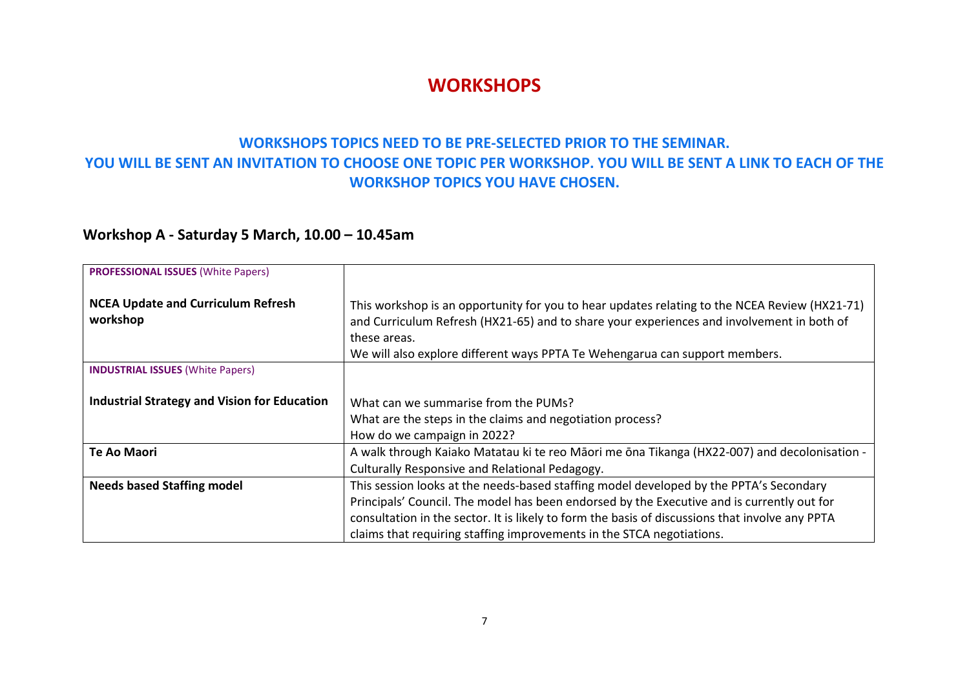### **WORKSHOPS**

#### **WORKSHOPS TOPICS NEED TO BE PRE-SELECTED PRIOR TO THE SEMINAR. YOU WILL BE SENT AN INVITATION TO CHOOSE ONE TOPIC PER WORKSHOP. YOU WILL BE SENT A LINK TO EACH OF THE WORKSHOP TOPICS YOU HAVE CHOSEN.**

### **Workshop A - Saturday 5 March, 10.00 – 10.45am**

| <b>PROFESSIONAL ISSUES (White Papers)</b>             |                                                                                                                                                                                                                                                                                                                                                                  |
|-------------------------------------------------------|------------------------------------------------------------------------------------------------------------------------------------------------------------------------------------------------------------------------------------------------------------------------------------------------------------------------------------------------------------------|
| <b>NCEA Update and Curriculum Refresh</b><br>workshop | This workshop is an opportunity for you to hear updates relating to the NCEA Review (HX21-71)<br>and Curriculum Refresh (HX21-65) and to share your experiences and involvement in both of<br>these areas.<br>We will also explore different ways PPTA Te Wehengarua can support members.                                                                        |
| <b>INDUSTRIAL ISSUES (White Papers)</b>               |                                                                                                                                                                                                                                                                                                                                                                  |
| <b>Industrial Strategy and Vision for Education</b>   | What can we summarise from the PUMs?<br>What are the steps in the claims and negotiation process?<br>How do we campaign in 2022?                                                                                                                                                                                                                                 |
| <b>Te Ao Maori</b>                                    | A walk through Kaiako Matatau ki te reo Māori me ōna Tikanga (HX22-007) and decolonisation -<br>Culturally Responsive and Relational Pedagogy.                                                                                                                                                                                                                   |
| <b>Needs based Staffing model</b>                     | This session looks at the needs-based staffing model developed by the PPTA's Secondary<br>Principals' Council. The model has been endorsed by the Executive and is currently out for<br>consultation in the sector. It is likely to form the basis of discussions that involve any PPTA<br>claims that requiring staffing improvements in the STCA negotiations. |